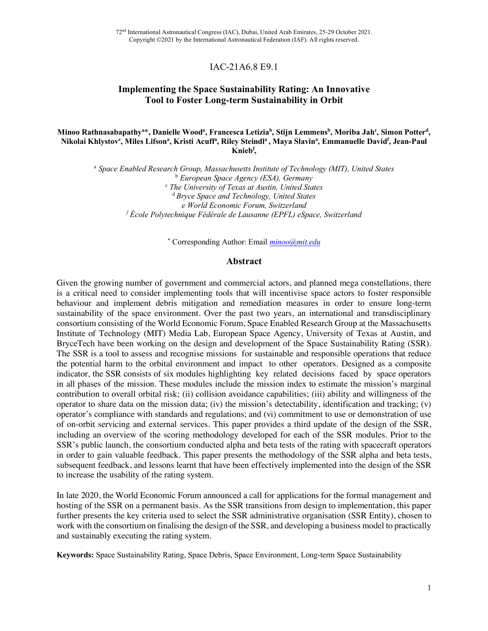72nd International Astronautical Congress (IAC), Dubai, United Arab Emirates, 25-29 October 2021. Copyright ©2021 by the International Astronautical Federation (IAF). All rights reserved.

# IAC-21A6.8 E9.1

# **Implementing the Space Sustainability Rating: An Innovative Tool to Foster Long-term Sustainability in Orbit**

### Minoo Rathnasabapathy<sup>a\*</sup>, Danielle Wood<sup>a</sup>, Francesca Letizia<sup>b</sup>, Stijn Lemmens<sup>b</sup>, Moriba Jah<sup>c</sup>, Simon Potter<sup>d</sup>, Nikolai Khlystov<sup>e</sup>, Miles Lifsonª, Kristi Acuffª, Riley Steindlª , Maya Slavinª, Emmanuelle David<sup>f</sup>, Jean-Paul **Kniebf ,**

<sup>a</sup> *Space Enabled Research Group, Massachusetts Institute of Technology (MIT), United States* <sup>b</sup> *European Space Agency (ESA), Germany* <sup>c</sup> *The University of Texas at Austin, United States* <sup>d</sup> *Bryce Space and Technology, United States e World Economic Forum, Switzerland <sup>f</sup> École Polytechnique Fédérale de Lausanne (EPFL) eSpace, Switzerland*

\* Corresponding Author: Email *minoo@mit.edu*

#### **Abstract**

Given the growing number of government and commercial actors, and planned mega constellations, there is a critical need to consider implementing tools that will incentivise space actors to foster responsible behaviour and implement debris mitigation and remediation measures in order to ensure long-term sustainability of the space environment. Over the past two years, an international and transdisciplinary consortium consisting of the World Economic Forum, Space Enabled Research Group at the Massachusetts Institute of Technology (MIT) Media Lab, European Space Agency, University of Texas at Austin, and BryceTech have been working on the design and development of the Space Sustainability Rating (SSR). The SSR is a tool to assess and recognise missions for sustainable and responsible operations that reduce the potential harm to the orbital environment and impact to other operators. Designed as a composite indicator, the SSR consists of six modules highlighting key related decisions faced by space operators in all phases of the mission. These modules include the mission index to estimate the mission's marginal contribution to overall orbital risk; (ii) collision avoidance capabilities; (iii) ability and willingness of the operator to share data on the mission data; (iv) the mission's detectability, identification and tracking; (v) operator's compliance with standards and regulations; and (vi) commitment to use or demonstration of use of on-orbit servicing and external services. This paper provides a third update of the design of the SSR, including an overview of the scoring methodology developed for each of the SSR modules. Prior to the SSR's public launch, the consortium conducted alpha and beta tests of the rating with spacecraft operators in order to gain valuable feedback. This paper presents the methodology of the SSR alpha and beta tests, subsequent feedback, and lessons learnt that have been effectively implemented into the design of the SSR to increase the usability of the rating system.

In late 2020, the World Economic Forum announced a call for applications for the formal management and hosting of the SSR on a permanent basis. As the SSR transitions from design to implementation, this paper further presents the key criteria used to select the SSR administrative organisation (SSR Entity), chosen to work with the consortium on finalising the design of the SSR, and developing a business model to practically and sustainably executing the rating system.

**Keywords:** Space Sustainability Rating, Space Debris, Space Environment, Long-term Space Sustainability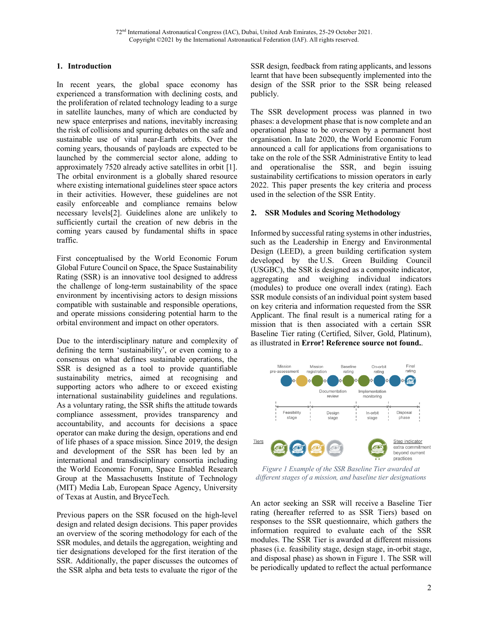## **1. Introduction**

In recent years, the global space economy has experienced a transformation with declining costs, and the proliferation of related technology leading to a surge in satellite launches, many of which are conducted by new space enterprises and nations, inevitably increasing the risk of collisions and spurring debates on the safe and sustainable use of vital near-Earth orbits. Over the coming years, thousands of payloads are expected to be launched by the commercial sector alone, adding to approximately 7520 already active satellites in orbit [1]. The orbital environment is a globally shared resource where existing international guidelines steer space actors in their activities. However, these guidelines are not easily enforceable and compliance remains below necessary levels[2]. Guidelines alone are unlikely to sufficiently curtail the creation of new debris in the coming years caused by fundamental shifts in space traffic.

First conceptualised by the World Economic Forum Global Future Council on Space, the Space Sustainability Rating (SSR) is an innovative tool designed to address the challenge of long-term sustainability of the space environment by incentivising actors to design missions compatible with sustainable and responsible operations, and operate missions considering potential harm to the orbital environment and impact on other operators.

Due to the interdisciplinary nature and complexity of defining the term 'sustainability', or even coming to a consensus on what defines sustainable operations, the SSR is designed as a tool to provide quantifiable sustainability metrics, aimed at recognising and supporting actors who adhere to or exceed existing international sustainability guidelines and regulations. As a voluntary rating, the SSR shifts the attitude towards compliance assessment, provides transparency and accountability, and accounts for decisions a space operator can make during the design, operations and end of life phases of a space mission. Since 2019, the design and development of the SSR has been led by an international and transdisciplinary consortia including the World Economic Forum, Space Enabled Research Group at the Massachusetts Institute of Technology (MIT) Media Lab, European Space Agency, University of Texas at Austin, and BryceTech.

Previous papers on the SSR focused on the high-level design and related design decisions. This paper provides an overview of the scoring methodology for each of the SSR modules, and details the aggregation, weighting and tier designations developed for the first iteration of the SSR. Additionally, the paper discusses the outcomes of the SSR alpha and beta tests to evaluate the rigor of the

SSR design, feedback from rating applicants, and lessons learnt that have been subsequently implemented into the design of the SSR prior to the SSR being released publicly.

The SSR development process was planned in two phases: a development phase that is now complete and an operational phase to be overseen by a permanent host organisation. In late 2020, the World Economic Forum announced a call for applications from organisations to take on the role of the SSR Administrative Entity to lead and operationalise the SSR, and begin issuing sustainability certifications to mission operators in early 2022. This paper presents the key criteria and process used in the selection of the SSR Entity.

### **2. SSR Modules and Scoring Methodology**

Informed by successful rating systems in other industries, such as the Leadership in Energy and Environmental Design (LEED), a green building certification system developed by the U.S. Green Building Council (USGBC), the SSR is designed as a composite indicator, aggregating and weighing individual indicators (modules) to produce one overall index (rating). Each SSR module consists of an individual point system based on key criteria and information requested from the SSR Applicant. The final result is a numerical rating for a mission that is then associated with a certain SSR Baseline Tier rating (Certified, Silver, Gold, Platinum), as illustrated in **Error! Reference source not found.**.



*Figure 1 Example of the SSR Baseline Tier awarded at different stages of a mission, and baseline tier designations*

An actor seeking an SSR will receive a Baseline Tier rating (hereafter referred to as SSR Tiers) based on responses to the SSR questionnaire, which gathers the information required to evaluate each of the SSR modules. The SSR Tier is awarded at different missions phases (i.e. feasibility stage, design stage, in-orbit stage, and disposal phase) as shown in Figure 1. The SSR will be periodically updated to reflect the actual performance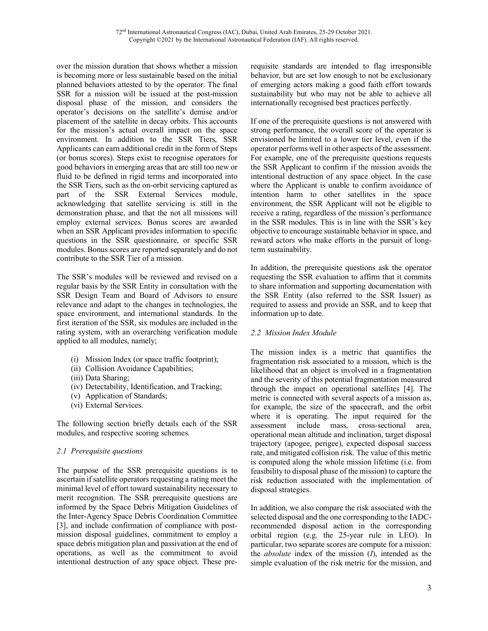over the mission duration that shows whether a mission is becoming more or less sustainable based on the initial planned behaviors attested to by the operator. The final SSR for a mission will be issued at the post-mission disposal phase of the mission, and considers the operator's decisions on the satellite's demise and/or placement of the satellite in decay orbits. This accounts for the mission's actual overall impact on the space environment. In addition to the SSR Tiers, SSR Applicants can earn additional credit in the form of Steps (or bonus scores). Steps exist to recognise operators for good behaviors in emerging areas that are still too new or fluid to be defined in rigid terms and incorporated into the SSR Tiers, such as the on-orbit servicing captured as part of the SSR External Services module, acknowledging that satellite servicing is still in the demonstration phase, and that the not all missions will employ external services. Bonus scores are awarded when an SSR Applicant provides information to specific questions in the SSR questionnaire, or specific SSR modules. Bonus scores are reported separately and do not contribute to the SSR Tier of a mission.

The SSR's modules will be reviewed and revised on a regular basis by the SSR Entity in consultation with the SSR Design Team and Board of Advisors to ensure relevance and adapt to the changes in technologies, the space environment, and international standards. In the first iteration of the SSR, six modules are included in the rating system, with an overarching verification module applied to all modules, namely;

- (i) Mission Index (or space traffic footprint);
- (ii) Collision Avoidance Capabilities;
- (iii) Data Sharing;
- (iv) Detectability, Identification, and Tracking;
- (v) Application of Standards;
- (vi) External Services.

The following section briefly details each of the SSR modules, and respective scoring schemes.

## *2.1 Prerequisite questions*

The purpose of the SSR prerequisite questions is to ascertain if satellite operators requesting a rating meet the minimal level of effort toward sustainability necessary to merit recognition. The SSR prerequisite questions are informed by the Space Debris Mitigation Guidelines of the Inter-Agency Space Debris Coordination Committee [3], and include confirmation of compliance with postmission disposal guidelines, commitment to employ a space debris mitigation plan and passivation at the end of operations, as well as the commitment to avoid intentional destruction of any space object. These prerequisite standards are intended to flag irresponsible behavior, but are set low enough to not be exclusionary of emerging actors making a good faith effort towards sustainability but who may not be able to achieve all internationally recognised best practices perfectly.

If one of the prerequisite questions is not answered with strong performance, the overall score of the operator is envisioned be limited to a lower tier level, even if the operator performs well in other aspects of the assessment. For example, one of the prerequisite questions requests the SSR Applicant to confirm if the mission avoids the intentional destruction of any space object. In the case where the Applicant is unable to confirm avoidance of intention harm to other satellites in the space environment, the SSR Applicant will not be eligible to receive a rating, regardless of the mission's performance in the SSR modules. This is in line with the SSR's key objective to encourage sustainable behavior in space, and reward actors who make efforts in the pursuit of longterm sustainability.

In addition, the prerequisite questions ask the operator requesting the SSR evaluation to affirm that it commits to share information and supporting documentation with the SSR Entity (also referred to the SSR Issuer) as required to assess and provide an SSR, and to keep that information up to date.

### *2.2 Mission Index Module*

The mission index is a metric that quantifies the fragmentation risk associated to a mission, which is the likelihood that an object is involved in a fragmentation and the severity of this potential fragmentation measured through the impact on operational satellites [4]. The metric is connected with several aspects of a mission as, for example, the size of the spacecraft, and the orbit where it is operating. The input required for the assessment include mass, cross-sectional area, operational mean altitude and inclination, target disposal trajectory (apogee, perigee), expected disposal success rate, and mitigated collision risk. The value of this metric is computed along the whole mission lifetime (i.e. from feasibility to disposal phase of the mission) to capture the risk reduction associated with the implementation of disposal strategies.

In addition, we also compare the risk associated with the selected disposal and the one corresponding to the IADCrecommended disposal action in the corresponding orbital region (e.g. the 25-year rule in LEO). In particular, two separate scores are compute for a mission: the *absolute* index of the mission (*I*), intended as the simple evaluation of the risk metric for the mission, and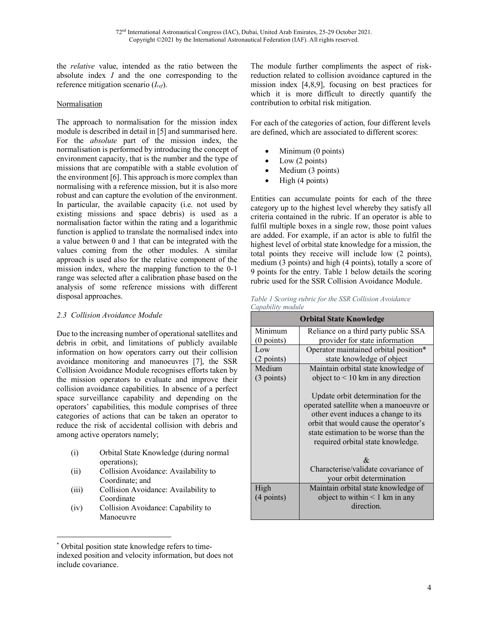the *relative* value, intended as the ratio between the absolute index *I* and the one corresponding to the reference mitigation scenario (*Iref*).

### **Normalisation**

The approach to normalisation for the mission index module is described in detail in [5] and summarised here. For the *absolute* part of the mission index, the normalisation is performed by introducing the concept of environment capacity, that is the number and the type of missions that are compatible with a stable evolution of the environment [6]. This approach is more complex than normalising with a reference mission, but it is also more robust and can capture the evolution of the environment. In particular, the available capacity (i.e. not used by existing missions and space debris) is used as a normalisation factor within the rating and a logarithmic function is applied to translate the normalised index into a value between 0 and 1 that can be integrated with the values coming from the other modules. A similar approach is used also for the relative component of the mission index, where the mapping function to the 0-1 range was selected after a calibration phase based on the analysis of some reference missions with different disposal approaches.

### *2.3 Collision Avoidance Module*

Due to the increasing number of operational satellites and debris in orbit, and limitations of publicly available information on how operators carry out their collision avoidance monitoring and manoeuvres [7], the SSR Collision Avoidance Module recognises efforts taken by the mission operators to evaluate and improve their collision avoidance capabilities. In absence of a perfect space surveillance capability and depending on the operators' capabilities, this module comprises of three categories of actions that can be taken an operator to reduce the risk of accidental collision with debris and among active operators namely;

- (i) Orbital State Knowledge (during normal operations);
- (ii) Collision Avoidance: Availability to Coordinate; and
- (iii) Collision Avoidance: Availability to Coordinate
- (iv) Collision Avoidance: Capability to Manoeuvre

The module further compliments the aspect of riskreduction related to collision avoidance captured in the mission index [4,8,9], focusing on best practices for which it is more difficult to directly quantify the contribution to orbital risk mitigation.

For each of the categories of action, four different levels are defined, which are associated to different scores:

- Minimum (0 points)
- Low  $(2 \text{ points})$
- Medium (3 points)
- High (4 points)

Entities can accumulate points for each of the three category up to the highest level whereby they satisfy all criteria contained in the rubric. If an operator is able to fulfil multiple boxes in a single row, those point values are added. For example, if an actor is able to fulfil the highest level of orbital state knowledge for a mission, the total points they receive will include low (2 points), medium (3 points) and high (4 points), totally a score of 9 points for the entry. Table 1 below details the scoring rubric used for the SSR Collision Avoidance Module.

| Table 1 Scoring rubric for the SSR Collision Avoidance |  |
|--------------------------------------------------------|--|
| Capability module                                      |  |

|              | <b>Orbital State Knowledge</b>                                                                                                                                                                                                             |
|--------------|--------------------------------------------------------------------------------------------------------------------------------------------------------------------------------------------------------------------------------------------|
| Minimum      | Reliance on a third party public SSA                                                                                                                                                                                                       |
| $(0$ points) | provider for state information                                                                                                                                                                                                             |
| Low          | Operator maintained orbital position*                                                                                                                                                                                                      |
| $(2$ points) | state knowledge of object                                                                                                                                                                                                                  |
| Medium       | Maintain orbital state knowledge of                                                                                                                                                                                                        |
| $(3$ points) | object to $\leq 10$ km in any direction                                                                                                                                                                                                    |
|              | Update orbit determination for the<br>operated satellite when a manoeuvre or<br>other event induces a change to its<br>orbit that would cause the operator's<br>state estimation to be worse than the<br>required orbital state knowledge. |
|              | $\mathcal{R}_{\mathcal{L}}$                                                                                                                                                                                                                |
|              | Characterise/validate covariance of<br>your orbit determination                                                                                                                                                                            |
| High         | Maintain orbital state knowledge of                                                                                                                                                                                                        |
| $(4$ points) | object to within $\leq 1$ km in any                                                                                                                                                                                                        |
|              | direction.                                                                                                                                                                                                                                 |

Orbital position state knowledge refers to timeindexed position and velocity information, but does not include covariance.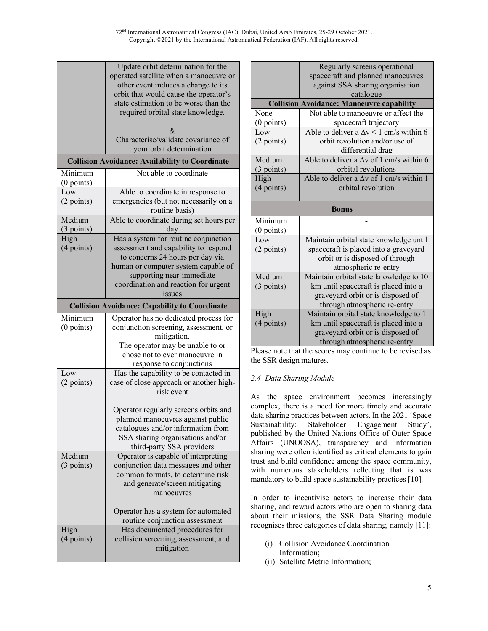72nd International Astronautical Congress (IAC), Dubai, United Arab Emirates, 25-29 October 2021. Copyright ©2021 by the International Astronautical Federation (IAF). All rights reserved.

|              | Update orbit determination for the                                             |
|--------------|--------------------------------------------------------------------------------|
|              | operated satellite when a manoeuvre or                                         |
|              | other event induces a change to its                                            |
|              | orbit that would cause the operator's                                          |
|              | state estimation to be worse than the                                          |
|              | required orbital state knowledge.                                              |
|              | &                                                                              |
|              | Characterise/validate covariance of                                            |
|              | your orbit determination                                                       |
|              | <b>Collision Avoidance: Availability to Coordinate</b>                         |
| Minimum      | Not able to coordinate                                                         |
| $(0$ points) |                                                                                |
| Low          | Able to coordinate in response to                                              |
| (2 points)   | emergencies (but not necessarily on a                                          |
|              | routine basis)                                                                 |
| Medium       | Able to coordinate during set hours per                                        |
| $(3$ points) | day                                                                            |
| High         | Has a system for routine conjunction                                           |
| (4 points)   | assessment and capability to respond                                           |
|              | to concerns 24 hours per day via                                               |
|              | human or computer system capable of                                            |
|              | supporting near-immediate                                                      |
|              | coordination and reaction for urgent                                           |
|              | issues                                                                         |
|              | <b>Collision Avoidance: Capability to Coordinate</b>                           |
|              |                                                                                |
| Minimum      |                                                                                |
| $(0$ points) | Operator has no dedicated process for<br>conjunction screening, assessment, or |
|              | mitigation.                                                                    |
|              | The operator may be unable to or                                               |
|              | chose not to ever manoeuvre in                                                 |
|              | response to conjunctions                                                       |
| Low          | Has the capability to be contacted in                                          |
| (2 points)   | case of close approach or another high-                                        |
|              | risk event                                                                     |
|              |                                                                                |
|              | Operator regularly screens orbits and                                          |
|              | planned manoeuvres against public                                              |
|              | catalogues and/or information from                                             |
|              | SSA sharing organisations and/or                                               |
|              | third-party SSA providers                                                      |
| Medium       | Operator is capable of interpreting                                            |
| $(3$ points) | conjunction data messages and other                                            |
|              | common formats, to determine risk                                              |
|              | and generate/screen mitigating                                                 |
|              | manoeuvres                                                                     |
|              |                                                                                |
|              | Operator has a system for automated                                            |
|              | routine conjunction assessment                                                 |
| High         | Has documented procedures for                                                  |
| (4 points)   | collision screening, assessment, and<br>mitigation                             |

|              | Regularly screens operational                    |  |  |
|--------------|--------------------------------------------------|--|--|
|              | spacecraft and planned manoeuvres                |  |  |
|              | against SSA sharing organisation                 |  |  |
|              | catalogue                                        |  |  |
|              | <b>Collision Avoidance: Manoeuvre capability</b> |  |  |
| None         | Not able to manoeuvre or affect the              |  |  |
| $(0$ points) | spacecraft trajectory                            |  |  |
| Low          | Able to deliver a $\Delta v < 1$ cm/s within 6   |  |  |
| (2 points)   | orbit revolution and/or use of                   |  |  |
|              | differential drag                                |  |  |
| Medium       | Able to deliver a $\Delta v$ of 1 cm/s within 6  |  |  |
| $(3$ points) | orbital revolutions                              |  |  |
| High         | Able to deliver a $\Delta v$ of 1 cm/s within 1  |  |  |
| (4 points)   | orbital revolution                               |  |  |
|              |                                                  |  |  |
| <b>Bonus</b> |                                                  |  |  |
| Minimum      |                                                  |  |  |
| $(0$ points) |                                                  |  |  |
| Low          | Maintain orbital state knowledge until           |  |  |
| (2 points)   | spacecraft is placed into a graveyard            |  |  |
|              | orbit or is disposed of through                  |  |  |
|              | atmospheric re-entry                             |  |  |
| Medium       | Maintain orbital state knowledge to 10           |  |  |
| $(3$ points) | km until spacecraft is placed into a             |  |  |
|              | graveyard orbit or is disposed of                |  |  |
|              | through atmospheric re-entry                     |  |  |
| High         | Maintain orbital state knowledge to 1            |  |  |
| $(4$ points) | km until spacecraft is placed into a             |  |  |
|              | graveyard orbit or is disposed of                |  |  |
|              |                                                  |  |  |

Please note that the scores may continue to be revised as the SSR design matures.

# *2.4 Data Sharing Module*

As the space environment becomes increasingly complex, there is a need for more timely and accurate data sharing practices between actors. In the 2021 'Space Sustainability: Stakeholder Engagement Study', published by the United Nations Office of Outer Space Affairs (UNOOSA), transparency and information sharing were often identified as critical elements to gain trust and build confidence among the space community, with numerous stakeholders reflecting that is was mandatory to build space sustainability practices [10].

In order to incentivise actors to increase their data sharing, and reward actors who are open to sharing data about their missions, the SSR Data Sharing module recognises three categories of data sharing, namely [11]:

- (i) Collision Avoidance Coordination Information;
- (ii) Satellite Metric Information;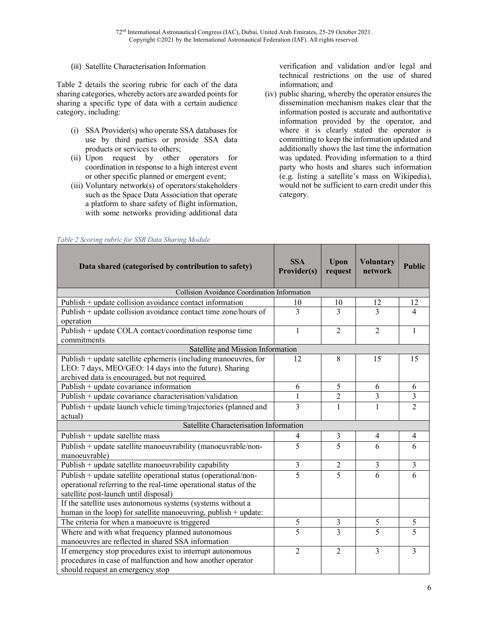### (iii) Satellite Characterisation Information

Table 2 details the scoring rubric for each of the data sharing categories, whereby actors are awarded points for sharing a specific type of data with a certain audience category, including:

- (i) SSA Provider(s) who operate SSA databases for use by third parties or provide SSA data products or services to others;
- (ii) Upon request by other operators for coordination in response to a high interest event or other specific planned or emergent event;
- (iii) Voluntary network(s) of operators/stakeholders such as the Space Data Association that operate a platform to share safety of flight information, with some networks providing additional data

verification and validation and/or legal and technical restrictions on the use of shared information; and

(iv) public sharing, whereby the operator ensures the dissemination mechanism makes clear that the information posted is accurate and authoritative information provided by the operator, and where it is clearly stated the operator is committing to keep the information updated and additionally shows the last time the information was updated. Providing information to a third party who hosts and shares such information (e.g. listing a satellite's mass on Wikipedia), would not be sufficient to earn credit under this category.

| Data shared (categorised by contribution to safety)              | <b>SSA</b><br>Provider(s) | Upon<br>request | <b>Voluntary</b><br>network | <b>Public</b>  |
|------------------------------------------------------------------|---------------------------|-----------------|-----------------------------|----------------|
| Collision Avoidance Coordination Information                     |                           |                 |                             |                |
| Publish $+$ update collision avoidance contact information       | 10                        | 10              | 12                          | 12             |
| Publish + update collision avoidance contact time zone/hours of  | 3                         | 3               | 3                           | $\overline{4}$ |
| operation                                                        |                           |                 |                             |                |
| Publish + update COLA contact/coordination response time         | 1                         | $\overline{2}$  | $\overline{2}$              | $\mathbf{1}$   |
| commitments                                                      |                           |                 |                             |                |
| Satellite and Mission Information                                |                           |                 |                             |                |
| Publish + update satellite ephemeris (including manoeuvres, for  | 12                        | 8               | 15                          | 15             |
| LEO: 7 days, MEO/GEO: 14 days into the future). Sharing          |                           |                 |                             |                |
| archived data is encouraged, but not required.                   |                           |                 |                             |                |
| Publish + update covariance information                          | 6                         | 5               | 6                           | 6              |
| Publish + update covariance characterisation/validation          | $\mathbf{1}$              | $\overline{2}$  | $\overline{3}$              | 3              |
| Publish + update launch vehicle timing/trajectories (planned and | 3                         | 1               | 1                           | $\overline{2}$ |
| actual)                                                          |                           |                 |                             |                |
| Satellite Characterisation Information                           |                           |                 |                             |                |
| Publish + update satellite mass                                  | 4                         | 3               | 4                           | 4              |
| Publish + update satellite manoeuvrability (manoeuvrable/non-    | 5                         | 5               | 6                           | 6              |
| manoeuvrable)                                                    |                           |                 |                             |                |
| Publish + update satellite manoeuvrability capability            | $\overline{\mathbf{3}}$   | $\overline{2}$  | $\overline{3}$              | $\overline{3}$ |
| Publish + update satellite operational status (operational/non-  | $\overline{5}$            | $\overline{5}$  | 6                           | 6              |
| operational referring to the real-time operational status of the |                           |                 |                             |                |
| satellite post-launch until disposal)                            |                           |                 |                             |                |
| If the satellite uses autonomous systems (systems without a      |                           |                 |                             |                |
| human in the loop) for satellite manoeuvring, publish + update:  |                           |                 |                             |                |
| The criteria for when a manoeuvre is triggered                   | 5                         | 3               | 5                           | 5              |
| Where and with what frequency planned autonomous                 | $\overline{5}$            | 3               | 5                           | 5              |
| manoeuvres are reflected in shared SSA information               |                           |                 |                             |                |
| If emergency stop procedures exist to interrupt autonomous       | $\overline{2}$            | $\overline{2}$  | 3                           | 3              |
| procedures in case of malfunction and how another operator       |                           |                 |                             |                |
| should request an emergency stop                                 |                           |                 |                             |                |

#### *Table 2 Scoring rubric for SSR Data Sharing Module*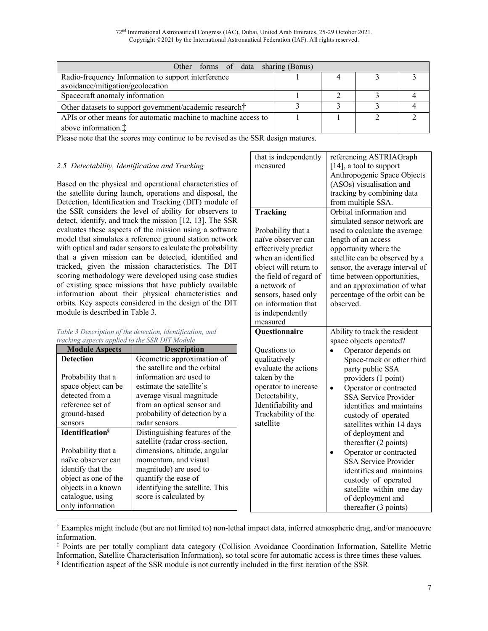72nd International Astronautical Congress (IAC), Dubai, United Arab Emirates, 25-29 October 2021. Copyright ©2021 by the International Astronautical Federation (IAF). All rights reserved.

| Other forms of data sharing (Bonus)                            |  |  |
|----------------------------------------------------------------|--|--|
| Radio-frequency Information to support interference            |  |  |
| avoidance/mitigation/geolocation                               |  |  |
| Spacecraft anomaly information                                 |  |  |
| Other datasets to support government/academic research†        |  |  |
| APIs or other means for automatic machine to machine access to |  |  |
| above information. $\ddagger$                                  |  |  |

Please note that the scores may continue to be revised as the SSR design matures.

### *2.5 Detectability, Identification and Tracking*

Based on the physical and operational characteristics of the satellite during launch, operations and disposal, the Detection, Identification and Tracking (DIT) module of the SSR considers the level of ability for observers to detect, identify, and track the mission [12, 13]. The SSR evaluates these aspects of the mission using a software model that simulates a reference ground station network with optical and radar sensors to calculate the probability that a given mission can be detected, identified and tracked, given the mission characteristics. The DIT scoring methodology were developed using case studies of existing space missions that have publicly available information about their physical characteristics and orbits. Key aspects considered in the design of the DIT module is described in Table 3.

| Table 3 Description of the detection, identification, and |  |
|-----------------------------------------------------------|--|
| tracking aspects applied to the SSR DIT Module            |  |

| <b>Module Aspects</b>   | <b>Description</b>              |
|-------------------------|---------------------------------|
| <b>Detection</b>        | Geometric approximation of      |
|                         | the satellite and the orbital   |
| Probability that a      | information are used to         |
| space object can be     | estimate the satellite's        |
| detected from a         | average visual magnitude        |
| reference set of        | from an optical sensor and      |
| ground-based            | probability of detection by a   |
| sensors                 | radar sensors.                  |
| <b>Identification</b> § | Distinguishing features of the  |
|                         | satellite (radar cross-section, |
| Probability that a      | dimensions, altitude, angular   |
| naïve observer can      | momentum, and visual            |
| identify that the       | magnitude) are used to          |
| object as one of the    | quantify the ease of            |
| objects in a known      | identifying the satellite. This |
| catalogue, using        | score is calculated by          |
| only information        |                                 |

| that is independently<br>measured                                                                                                                                                                                                                  | referencing ASTRIAGraph<br>$[14]$ , a tool to support<br>Anthropogenic Space Objects<br>(ASOs) visualisation and<br>tracking by combining data<br>from multiple SSA.<br>Orbital information and                                                                                                                                                                                                                                                                                                                                       |
|----------------------------------------------------------------------------------------------------------------------------------------------------------------------------------------------------------------------------------------------------|---------------------------------------------------------------------------------------------------------------------------------------------------------------------------------------------------------------------------------------------------------------------------------------------------------------------------------------------------------------------------------------------------------------------------------------------------------------------------------------------------------------------------------------|
| Tracking<br>Probability that a<br>naïve observer can<br>effectively predict<br>when an identified<br>object will return to<br>the field of regard of<br>a network of<br>sensors, based only<br>on information that<br>is independently<br>measured | simulated sensor network are<br>used to calculate the average<br>length of an access<br>opportunity where the<br>satellite can be observed by a<br>sensor, the average interval of<br>time between opportunities,<br>and an approximation of what<br>percentage of the orbit can be<br>observed.                                                                                                                                                                                                                                      |
| Questionnaire<br>Questions to<br>qualitatively<br>evaluate the actions<br>taken by the<br>operator to increase<br>Detectability,<br>Identifiability and<br>Trackability of the<br>satellite                                                        | Ability to track the resident<br>space objects operated?<br>Operator depends on<br>Space-track or other third<br>party public SSA<br>providers (1 point)<br>Operator or contracted<br><b>SSA Service Provider</b><br>identifies and maintains<br>custody of operated<br>satellites within 14 days<br>of deployment and<br>thereafter (2 points)<br>Operator or contracted<br><b>SSA Service Provider</b><br>identifies and maintains<br>custody of operated<br>satellite within one day<br>of deployment and<br>thereafter (3 points) |

 <sup>†</sup> Examples might include (but are not limited to) non-lethal impact data, inferred atmospheric drag, and/or manoeuvre information.

<sup>‡</sup> Points are per totally compliant data category (Collision Avoidance Coordination Information, Satellite Metric Information, Satellite Characterisation Information), so total score for automatic access is three times these values.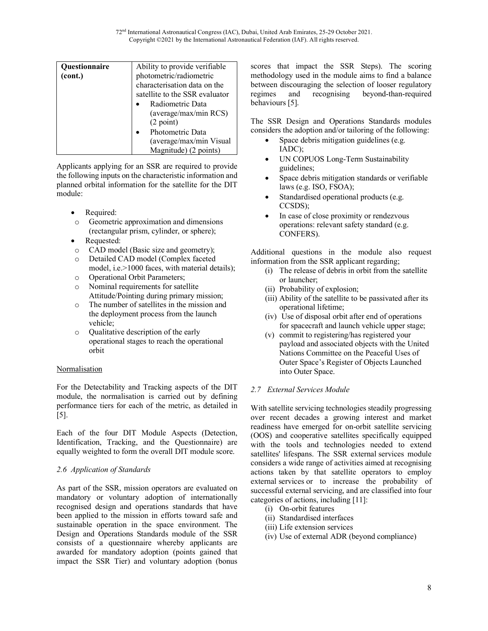72nd International Astronautical Congress (IAC), Dubai, United Arab Emirates, 25-29 October 2021. Copyright ©2021 by the International Astronautical Federation (IAF). All rights reserved.

| <b>Ouestionnaire</b><br>(cont.) | Ability to provide verifiable<br>photometric/radiometric<br>characterisation data on the<br>satellite to the SSR evaluator<br>Radiometric Data<br>(average/max/min RCS)<br>(2 point)<br>Photometric Data<br>(average/max/min Visual<br>Magnitude) (2 points) |
|---------------------------------|--------------------------------------------------------------------------------------------------------------------------------------------------------------------------------------------------------------------------------------------------------------|
|---------------------------------|--------------------------------------------------------------------------------------------------------------------------------------------------------------------------------------------------------------------------------------------------------------|

Applicants applying for an SSR are required to provide the following inputs on the characteristic information and planned orbital information for the satellite for the DIT module:

- Required:
- o Geometric approximation and dimensions (rectangular prism, cylinder, or sphere);
- Requested:
- o CAD model (Basic size and geometry);
- o Detailed CAD model (Complex faceted model, i.e.>1000 faces, with material details);
- o Operational Orbit Parameters;
- o Nominal requirements for satellite Attitude/Pointing during primary mission;
- o The number of satellites in the mission and the deployment process from the launch vehicle;
- o Qualitative description of the early operational stages to reach the operational orbit

# **Normalisation**

For the Detectability and Tracking aspects of the DIT module, the normalisation is carried out by defining performance tiers for each of the metric, as detailed in [5].

Each of the four DIT Module Aspects (Detection, Identification, Tracking, and the Questionnaire) are equally weighted to form the overall DIT module score.

### *2.6 Application of Standards*

As part of the SSR, mission operators are evaluated on mandatory or voluntary adoption of internationally recognised design and operations standards that have been applied to the mission in efforts toward safe and sustainable operation in the space environment. The Design and Operations Standards module of the SSR consists of a questionnaire whereby applicants are awarded for mandatory adoption (points gained that impact the SSR Tier) and voluntary adoption (bonus scores that impact the SSR Steps). The scoring methodology used in the module aims to find a balance between discouraging the selection of looser regulatory regimes and recognising beyond-than-required behaviours [5].

The SSR Design and Operations Standards modules considers the adoption and/or tailoring of the following:

- Space debris mitigation guidelines (e.g. IADC);
- UN COPUOS Long-Term Sustainability guidelines;
- Space debris mitigation standards or verifiable laws (e.g. ISO, FSOA);
- Standardised operational products (e.g. CCSDS);
- In case of close proximity or rendezvous operations: relevant safety standard (e.g. CONFERS).

Additional questions in the module also request information from the SSR applicant regarding;

- (i) The release of debris in orbit from the satellite or launcher;
- (ii) Probability of explosion;
- (iii) Ability of the satellite to be passivated after its operational lifetime;
- (iv) Use of disposal orbit after end of operations for spacecraft and launch vehicle upper stage;
- (v) commit to registering/has registered your payload and associated objects with the United Nations Committee on the Peaceful Uses of Outer Space's Register of Objects Launched into Outer Space.

### *2.7 External Services Module*

With satellite servicing technologies steadily progressing over recent decades a growing interest and market readiness have emerged for on-orbit satellite servicing (OOS) and cooperative satellites specifically equipped with the tools and technologies needed to extend satellites' lifespans. The SSR external services module considers a wide range of activities aimed at recognising actions taken by that satellite operators to employ external services or to increase the probability of successful external servicing, and are classified into four categories of actions, including [11]:

- (i) On-orbit features
- (ii) Standardised interfaces
- (iii) Life extension services
- (iv) Use of external ADR (beyond compliance)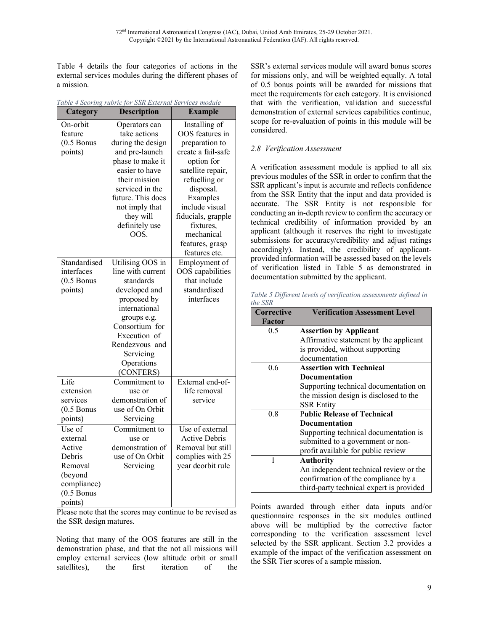Table 4 details the four categories of actions in the external services modules during the different phases of a mission.

| Category     | <b>Description</b>                  | <b>Example</b>       |  |  |
|--------------|-------------------------------------|----------------------|--|--|
| On-orbit     | Operators can                       | Installing of        |  |  |
| feature      | take actions                        | OOS features in      |  |  |
| $(0.5$ Bonus | during the design                   | preparation to       |  |  |
| points)      | and pre-launch                      | create a fail-safe   |  |  |
|              | phase to make it                    | option for           |  |  |
|              | easier to have                      | satellite repair,    |  |  |
|              | their mission                       | refuelling or        |  |  |
|              | serviced in the                     | disposal.            |  |  |
|              | future. This does                   | Examples             |  |  |
|              | not imply that                      | include visual       |  |  |
|              | they will                           | fiducials, grapple   |  |  |
|              | definitely use                      | fixtures,            |  |  |
|              | OOS                                 | mechanical           |  |  |
|              |                                     | features, grasp      |  |  |
|              |                                     | features etc.        |  |  |
| Standardised | Utilising OOS in                    | Employment of        |  |  |
| interfaces   | line with current                   | OOS capabilities     |  |  |
| $(0.5$ Bonus | standards                           | that include         |  |  |
| points)      | developed and                       | standardised         |  |  |
|              | proposed by                         | interfaces           |  |  |
|              | international                       |                      |  |  |
|              | groups e.g.                         |                      |  |  |
|              | Consortium for                      |                      |  |  |
|              | Execution of                        |                      |  |  |
|              | Rendezvous and                      |                      |  |  |
|              | Servicing                           |                      |  |  |
|              | Operations                          |                      |  |  |
|              | (CONFERS)                           |                      |  |  |
| Life         | Commitment to                       | External end-of-     |  |  |
| extension    | use or                              | life removal         |  |  |
| services     | demonstration of                    | service              |  |  |
| $(0.5$ Bonus | use of On Orbit                     |                      |  |  |
| points)      | Servicing                           |                      |  |  |
| Use of       | Commitment to                       | Use of external      |  |  |
| external     | use or                              | <b>Active Debris</b> |  |  |
| Active       | demonstration of<br>use of On Orbit | Removal but still    |  |  |
| Debris       |                                     | complies with 25     |  |  |
| Removal      | Servicing                           | year deorbit rule    |  |  |
| (beyond      |                                     |                      |  |  |
| compliance)  |                                     |                      |  |  |
| $(0.5$ Bonus |                                     |                      |  |  |
| points)      |                                     |                      |  |  |

|  | Table 4 Scoring rubric for SSR External Services module |  |  |
|--|---------------------------------------------------------|--|--|
|  |                                                         |  |  |

Please note that the scores may continue to be revised as the SSR design matures.

Noting that many of the OOS features are still in the demonstration phase, and that the not all missions will employ external services (low altitude orbit or small satellites), the first iteration of the SSR's external services module will award bonus scores for missions only, and will be weighted equally. A total of 0.5 bonus points will be awarded for missions that meet the requirements for each category. It is envisioned that with the verification, validation and successful demonstration of external services capabilities continue, scope for re-evaluation of points in this module will be considered.

# *2.8 Verification Assessment*

A verification assessment module is applied to all six previous modules of the SSR in order to confirm that the SSR applicant's input is accurate and reflects confidence from the SSR Entity that the input and data provided is accurate. The SSR Entity is not responsible for conducting an in-depth review to confirm the accuracy or technical credibility of information provided by an applicant (although it reserves the right to investigate submissions for accuracy/credibility and adjust ratings accordingly). Instead, the credibility of applicantprovided information will be assessed based on the levels of verification listed in Table 5 as demonstrated in documentation submitted by the applicant.

*Table 5 Different levels of verification assessments defined in the SSR*

| <b>Corrective</b> | <b>Verification Assessment Level</b>     |
|-------------------|------------------------------------------|
| Factor            |                                          |
| 0.5               | <b>Assertion by Applicant</b>            |
|                   | Affirmative statement by the applicant   |
|                   | is provided, without supporting          |
|                   | documentation                            |
| 0.6               | <b>Assertion with Technical</b>          |
|                   | Documentation                            |
|                   | Supporting technical documentation on    |
|                   | the mission design is disclosed to the   |
|                   | <b>SSR Entity</b>                        |
| 0.8               | <b>Public Release of Technical</b>       |
|                   | <b>Documentation</b>                     |
|                   | Supporting technical documentation is    |
|                   | submitted to a government or non-        |
|                   | profit available for public review       |
| 1                 | <b>Authority</b>                         |
|                   | An independent technical review or the   |
|                   | confirmation of the compliance by a      |
|                   | third-party technical expert is provided |

Points awarded through either data inputs and/or questionnaire responses in the six modules outlined above will be multiplied by the corrective factor corresponding to the verification assessment level selected by the SSR applicant. Section 3.2 provides a example of the impact of the verification assessment on the SSR Tier scores of a sample mission.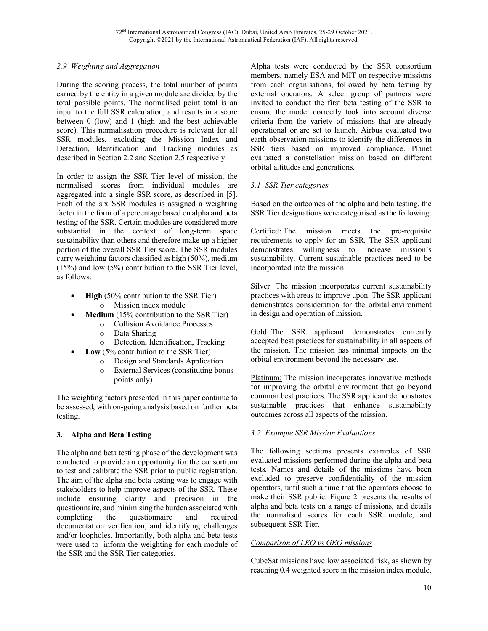# *2.9 Weighting and Aggregation*

During the scoring process, the total number of points earned by the entity in a given module are divided by the total possible points. The normalised point total is an input to the full SSR calculation, and results in a score between 0 (low) and 1 (high and the best achievable score). This normalisation procedure is relevant for all SSR modules, excluding the Mission Index and Detection, Identification and Tracking modules as described in Section 2.2 and Section 2.5 respectively

In order to assign the SSR Tier level of mission, the normalised scores from individual modules are aggregated into a single SSR score, as described in [5]. Each of the six SSR modules is assigned a weighting factor in the form of a percentage based on alpha and beta testing of the SSR. Certain modules are considered more substantial in the context of long-term space sustainability than others and therefore make up a higher portion of the overall SSR Tier score. The SSR modules carry weighting factors classified as high (50%), medium (15%) and low (5%) contribution to the SSR Tier level, as follows:

- **High** (50% contribution to the SSR Tier) o Mission index module
- **Medium** (15% contribution to the SSR Tier)
	- o Collision Avoidance Processes
		- o Data Sharing
	- o Detection, Identification, Tracking
	- **Low** (5% contribution to the SSR Tier)
		- o Design and Standards Application
		- o External Services (constituting bonus points only)

The weighting factors presented in this paper continue to be assessed, with on-going analysis based on further beta testing.

### **3. Alpha and Beta Testing**

The alpha and beta testing phase of the development was conducted to provide an opportunity for the consortium to test and calibrate the SSR prior to public registration. The aim of the alpha and beta testing was to engage with stakeholders to help improve aspects of the SSR. These include ensuring clarity and precision in the questionnaire, and minimising the burden associated with completing the questionnaire and required documentation verification, and identifying challenges and/or loopholes. Importantly, both alpha and beta tests were used to inform the weighting for each module of the SSR and the SSR Tier categories.

Alpha tests were conducted by the SSR consortium members, namely ESA and MIT on respective missions from each organisations, followed by beta testing by external operators. A select group of partners were invited to conduct the first beta testing of the SSR to ensure the model correctly took into account diverse criteria from the variety of missions that are already operational or are set to launch. Airbus evaluated two earth observation missions to identify the differences in SSR tiers based on improved compliance. Planet evaluated a constellation mission based on different orbital altitudes and generations.

### *3.1 SSR Tier categories*

Based on the outcomes of the alpha and beta testing, the SSR Tier designations were categorised as the following:

Certified: The mission meets the pre-requisite requirements to apply for an SSR. The SSR applicant demonstrates willingness to increase mission's sustainability. Current sustainable practices need to be incorporated into the mission.

Silver: The mission incorporates current sustainability practices with areas to improve upon. The SSR applicant demonstrates consideration for the orbital environment in design and operation of mission.

Gold: The SSR applicant demonstrates currently accepted best practices for sustainability in all aspects of the mission. The mission has minimal impacts on the orbital environment beyond the necessary use.

Platinum: The mission incorporates innovative methods for improving the orbital environment that go beyond common best practices. The SSR applicant demonstrates sustainable practices that enhance sustainability outcomes across all aspects of the mission.

### *3.2 Example SSR Mission Evaluations*

The following sections presents examples of SSR evaluated missions performed during the alpha and beta tests. Names and details of the missions have been excluded to preserve confidentiality of the mission operators, until such a time that the operators choose to make their SSR public. Figure 2 presents the results of alpha and beta tests on a range of missions, and details the normalised scores for each SSR module, and subsequent SSR Tier.

### *Comparison of LEO vs GEO missions*

CubeSat missions have low associated risk, as shown by reaching 0.4 weighted score in the mission index module.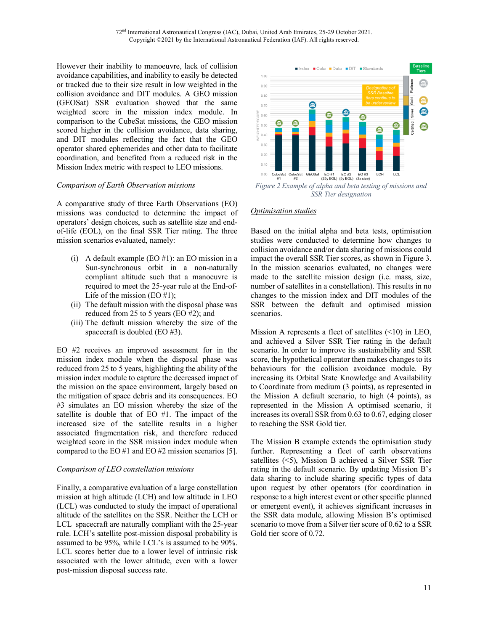However their inability to manoeuvre, lack of collision avoidance capabilities, and inability to easily be detected or tracked due to their size result in low weighted in the collision avoidance and DIT modules. A GEO mission (GEOSat) SSR evaluation showed that the same weighted score in the mission index module. In comparison to the CubeSat missions, the GEO mission scored higher in the collision avoidance, data sharing, and DIT modules reflecting the fact that the GEO operator shared ephemerides and other data to facilitate coordination, and benefited from a reduced risk in the Mission Index metric with respect to LEO missions.

#### *Comparison of Earth Observation missions*

A comparative study of three Earth Observations (EO) missions was conducted to determine the impact of operators' design choices, such as satellite size and endof-life (EOL), on the final SSR Tier rating. The three mission scenarios evaluated, namely:

- (i) A default example (EO #1): an EO mission in a Sun-synchronous orbit in a non-naturally compliant altitude such that a manoeuvre is required to meet the 25-year rule at the End-of-Life of the mission (EO  $#1$ );
- (ii) The default mission with the disposal phase was reduced from 25 to 5 years (EO #2); and
- (iii) The default mission whereby the size of the spacecraft is doubled (EO #3).

EO #2 receives an improved assessment for in the mission index module when the disposal phase was reduced from 25 to 5 years, highlighting the ability of the mission index module to capture the decreased impact of the mission on the space environment, largely based on the mitigation of space debris and its consequences. EO #3 simulates an EO mission whereby the size of the satellite is double that of EO #1. The impact of the increased size of the satellite results in a higher associated fragmentation risk, and therefore reduced weighted score in the SSR mission index module when compared to the EO #1 and EO #2 mission scenarios [5].

#### *Comparison of LEO constellation missions*

Finally, a comparative evaluation of a large constellation mission at high altitude (LCH) and low altitude in LEO (LCL) was conducted to study the impact of operational altitude of the satellites on the SSR. Neither the LCH or LCL spacecraft are naturally compliant with the 25-year rule. LCH's satellite post-mission disposal probability is assumed to be 95%, while LCL's is assumed to be 90%. LCL scores better due to a lower level of intrinsic risk associated with the lower altitude, even with a lower post-mission disposal success rate.



### *Optimisation studies*

Based on the initial alpha and beta tests, optimisation studies were conducted to determine how changes to collision avoidance and/or data sharing of missions could impact the overall SSR Tier scores, as shown in Figure 3. In the mission scenarios evaluated, no changes were made to the satellite mission design (i.e. mass, size, number of satellites in a constellation). This results in no changes to the mission index and DIT modules of the SSR between the default and optimised mission scenarios.

Mission A represents a fleet of satellites (<10) in LEO, and achieved a Silver SSR Tier rating in the default scenario. In order to improve its sustainability and SSR score, the hypothetical operator then makes changes to its behaviours for the collision avoidance module. By increasing its Orbital State Knowledge and Availability to Coordinate from medium (3 points), as represented in the Mission A default scenario, to high (4 points), as represented in the Mission A optimised scenario, it increases its overall SSR from 0.63 to 0.67, edging closer to reaching the SSR Gold tier.

The Mission B example extends the optimisation study further. Representing a fleet of earth observations satellites (<5), Mission B achieved a Silver SSR Tier rating in the default scenario. By updating Mission B's data sharing to include sharing specific types of data upon request by other operators (for coordination in response to a high interest event or other specific planned or emergent event), it achieves significant increases in the SSR data module, allowing Mission B's optimised scenario to move from a Silver tier score of 0.62 to a SSR Gold tier score of 0.72.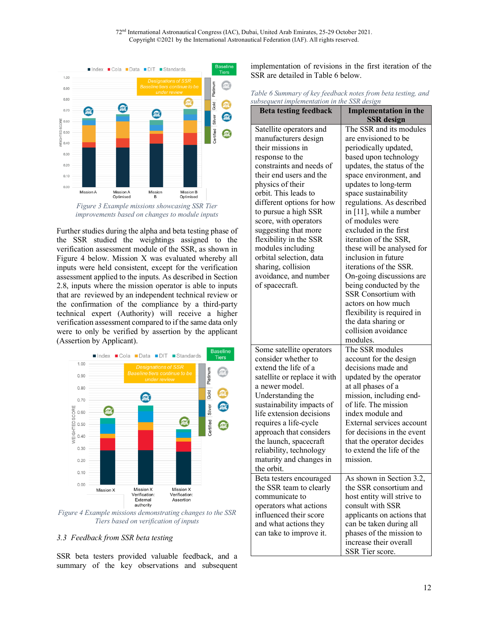

*improvements based on changes to module inputs*

Further studies during the alpha and beta testing phase of the SSR studied the weightings assigned to the verification assessment module of the SSR, as shown in Figure 4 below. Mission X was evaluated whereby all inputs were held consistent, except for the verification assessment applied to the inputs. As described in Section 2.8, inputs where the mission operator is able to inputs that are reviewed by an independent technical review or the confirmation of the compliance by a third-party technical expert (Authority) will receive a higher verification assessment compared to if the same data only were to only be verified by assertion by the applicant (Assertion by Applicant).



*Figure 4 Example missions demonstrating changes to the SSR Tiers based on verification of inputs*

#### *3.3 Feedback from SSR beta testing*

SSR beta testers provided valuable feedback, and a summary of the key observations and subsequent implementation of revisions in the first iteration of the SSR are detailed in Table 6 below.

| Table 6 Summary of key feedback notes from beta testing, and |  |
|--------------------------------------------------------------|--|
| subsequent implementation in the SSR design                  |  |

| , assequent implementation in | $\omega$ $\alpha$ $\omega$ $\alpha$ |
|-------------------------------|-------------------------------------|
| <b>Beta testing feedback</b>  | <b>Implementation in the</b>        |
|                               | <b>SSR</b> design                   |
| Satellite operators and       | The SSR and its modules             |
| manufacturers design          | are envisioned to be                |
| their missions in             | periodically updated,               |
| response to the               | based upon technology               |
| constraints and needs of      | updates, the status of the          |
| their end users and the       | space environment, and              |
| physics of their              | updates to long-term                |
| orbit. This leads to          | space sustainability                |
| different options for how     | regulations. As described           |
| to pursue a high SSR          | in [11], while a number             |
| score, with operators         | of modules were                     |
| suggesting that more          | excluded in the first               |
| flexibility in the SSR        | iteration of the SSR,               |
| modules including             | these will be analysed for          |
| orbital selection, data       | inclusion in future                 |
| sharing, collision            | iterations of the SSR.              |
|                               |                                     |
| avoidance, and number         | On-going discussions are            |
| of spacecraft.                | being conducted by the              |
|                               | <b>SSR Consortium with</b>          |
|                               | actors on how much                  |
|                               | flexibility is required in          |
|                               | the data sharing or                 |
|                               | collision avoidance                 |
|                               | modules.                            |
| Some satellite operators      | The SSR modules                     |
| consider whether to           | account for the design              |
| extend the life of a          | decisions made and                  |
| satellite or replace it with  | updated by the operator             |
| a newer model.                | at all phases of a                  |
| Understanding the             | mission, including end-             |
| sustainability impacts of     | of life. The mission                |
| life extension decisions      | index module and                    |
| requires a life-cycle         | External services account           |
| approach that considers       | for decisions in the event          |
| the launch, spacecraft        | that the operator decides           |
| reliability, technology       | to extend the life of the           |
| maturity and changes in       | mission.                            |
| the orbit.                    |                                     |
|                               |                                     |
| Beta testers encouraged       | As shown in Section 3.2,            |
| the SSR team to clearly       | the SSR consortium and              |
| communicate to                | host entity will strive to          |
| operators what actions        | consult with SSR                    |
| influenced their score        | applicants on actions that          |
| and what actions they         | can be taken during all             |
| can take to improve it.       | phases of the mission to            |
|                               | increase their overall              |
|                               | SSR Tier score.                     |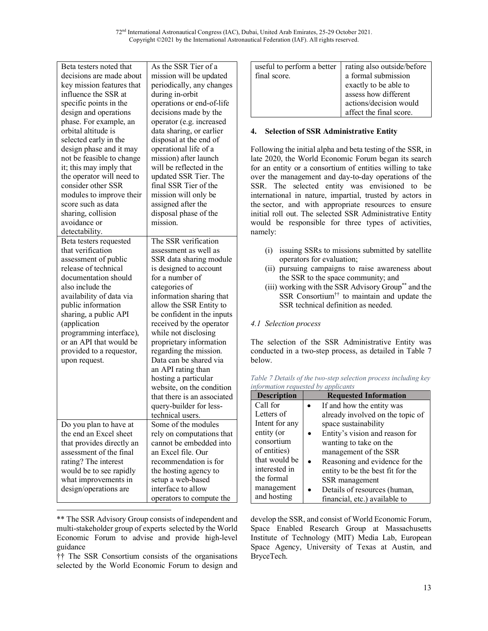| Beta testers noted that                         | As the SSR Tier of a                          |
|-------------------------------------------------|-----------------------------------------------|
| decisions are made about                        | mission will be updated                       |
| key mission features that                       | periodically, any changes                     |
| influence the SSR at                            | during in-orbit                               |
| specific points in the                          | operations or end-of-life                     |
| design and operations                           | decisions made by the                         |
| phase. For example, an                          | operator (e.g. increased                      |
| orbital altitude is                             | data sharing, or earlier                      |
| selected early in the                           | disposal at the end of                        |
| design phase and it may                         | operational life of a                         |
| not be feasible to change                       | mission) after launch                         |
| it; this may imply that                         | will be reflected in the                      |
| the operator will need to                       | updated SSR Tier. The                         |
| consider other SSR                              | final SSR Tier of the                         |
| modules to improve their                        | mission will only be                          |
| score such as data                              | assigned after the                            |
| sharing, collision                              | disposal phase of the                         |
| avoidance or                                    | mission.                                      |
| detectability.                                  |                                               |
| Beta testers requested                          | The SSR verification                          |
| that verification                               | assessment as well as                         |
| assessment of public                            | SSR data sharing module                       |
| release of technical                            | is designed to account                        |
| documentation should                            | for a number of                               |
| also include the                                | categories of                                 |
| availability of data via                        | information sharing that                      |
| public information                              | allow the SSR Entity to                       |
| sharing, a public API                           | be confident in the inputs                    |
| (application                                    | received by the operator                      |
| programming interface),                         | while not disclosing                          |
| or an API that would be                         | proprietary information                       |
| provided to a requestor,                        | regarding the mission.                        |
| upon request.                                   | Data can be shared via                        |
|                                                 | an API rating than                            |
|                                                 | hosting a particular                          |
|                                                 | website, on the condition                     |
|                                                 | that there is an associated                   |
|                                                 | query-builder for less-                       |
|                                                 | technical users.<br>Some of the modules       |
| Do you plan to have at                          |                                               |
| the end an Excel sheet                          | rely on computations that                     |
| that provides directly an                       | cannot be embedded into<br>an Excel file. Our |
| assessment of the final<br>rating? The interest | recommendation is for                         |
| would be to see rapidly                         | the hosting agency to                         |
| what improvements in                            | setup a web-based                             |
| design/operations are                           | interface to allow                            |
|                                                 |                                               |
|                                                 | operators to compute the                      |

<sup>\*\*</sup> The SSR Advisory Group consists of independent and multi-stakeholder group of experts selected by the World Economic Forum to advise and provide high-level guidance

 $\overline{a}$ 

†† The SSR Consortium consists of the organisations selected by the World Economic Forum to design and

| useful to perform a better<br>final score. | rating also outside/before<br>a formal submission<br>exactly to be able to |
|--------------------------------------------|----------------------------------------------------------------------------|
|                                            | assess how different<br>actions/decision would<br>affect the final score.  |

# **4. Selection of SSR Administrative Entity**

Following the initial alpha and beta testing of the SSR, in late 2020, the World Economic Forum began its search for an entity or a consortium of entities willing to take over the management and day-to-day operations of the SSR. The selected entity was envisioned to be international in nature, impartial, trusted by actors in the sector, and with appropriate resources to ensure initial roll out. The selected SSR Administrative Entity would be responsible for three types of activities, namely:

- (i) issuing SSRs to missions submitted by satellite operators for evaluation;
- (ii) pursuing campaigns to raise awareness about the SSR to the space community; and
- (iii) working with the SSR Advisory Group\*\* and the SSR Consortium†† to maintain and update the SSR technical definition as needed.

# *4.1 Selection process*

The selection of the SSR Administrative Entity was conducted in a two-step process, as detailed in Table 7 below.

| Table 7 Details of the two-step selection process including key |  |  |
|-----------------------------------------------------------------|--|--|
| information requested by applicants                             |  |  |

| <b>Description</b> | <b>Requested Information</b>      |
|--------------------|-----------------------------------|
| Call for           | If and how the entity was         |
| Letters of         | already involved on the topic of  |
| Intent for any     | space sustainability              |
| entity (or         | Entity's vision and reason for    |
| consortium         | wanting to take on the            |
| of entities)       | management of the SSR             |
| that would be      | Reasoning and evidence for the    |
| interested in      | entity to be the best fit for the |
| the formal         | SSR management                    |
| management         | Details of resources (human,      |
| and hosting        | financial, etc.) available to     |

develop the SSR, and consist of World Economic Forum, Space Enabled Research Group at Massachusetts Institute of Technology (MIT) Media Lab, European Space Agency, University of Texas at Austin, and BryceTech.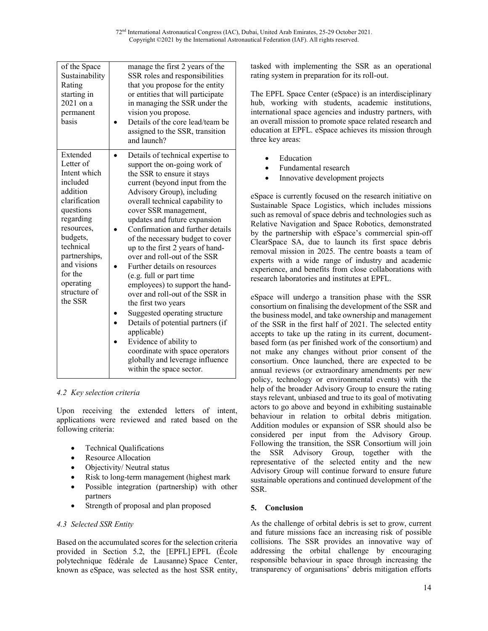| of the Space<br>Sustainability<br>Rating<br>starting in<br>$2021$ on a<br>permanent<br>hasis                                                                                                                                       | manage the first 2 years of the<br>SSR roles and responsibilities<br>that you propose for the entity<br>or entities that will participate<br>in managing the SSR under the<br>vision you propose.<br>Details of the core lead/team be<br>assigned to the SSR, transition<br>and launch?                                                                                                                                                                                                                                                                                                                                                                                                                                                                                          |
|------------------------------------------------------------------------------------------------------------------------------------------------------------------------------------------------------------------------------------|----------------------------------------------------------------------------------------------------------------------------------------------------------------------------------------------------------------------------------------------------------------------------------------------------------------------------------------------------------------------------------------------------------------------------------------------------------------------------------------------------------------------------------------------------------------------------------------------------------------------------------------------------------------------------------------------------------------------------------------------------------------------------------|
| Extended<br>Letter of<br>Intent which<br>included<br>addition<br>clarification<br>questions<br>regarding<br>resources,<br>budgets,<br>technical<br>partnerships,<br>and visions<br>for the<br>operating<br>structure of<br>the SSR | Details of technical expertise to<br>support the on-going work of<br>the SSR to ensure it stays<br>current (beyond input from the<br>Advisory Group), including<br>overall technical capability to<br>cover SSR management,<br>updates and future expansion<br>Confirmation and further details<br>of the necessary budget to cover<br>up to the first 2 years of hand-<br>over and roll-out of the SSR<br>Further details on resources<br>(e.g. full or part time<br>employees) to support the hand-<br>over and roll-out of the SSR in<br>the first two years<br>Suggested operating structure<br>Details of potential partners (if<br>applicable)<br>Evidence of ability to<br>coordinate with space operators<br>globally and leverage influence<br>within the space sector. |

### *4.2 Key selection criteria*

Upon receiving the extended letters of intent, applications were reviewed and rated based on the following criteria:

- Technical Qualifications
- Resource Allocation
- Objectivity/Neutral status
- Risk to long-term management (highest mark
- Possible integration (partnership) with other partners
- Strength of proposal and plan proposed

### *4.3 Selected SSR Entity*

Based on the accumulated scores for the selection criteria provided in Section 5.2, the [EPFL] EPFL (École polytechnique fédérale de Lausanne) Space Center, known as eSpace, was selected as the host SSR entity,

tasked with implementing the SSR as an operational rating system in preparation for its roll-out.

The EPFL Space Center (eSpace) is an interdisciplinary hub, working with students, academic institutions, international space agencies and industry partners, with an overall mission to promote space related research and education at EPFL. eSpace achieves its mission through three key areas:

- **Education**
- Fundamental research
- Innovative development projects

eSpace is currently focused on the research initiative on Sustainable Space Logistics, which includes missions such as removal of space debris and technologies such as Relative Navigation and Space Robotics, demonstrated by the partnership with eSpace's commercial spin-off ClearSpace SA, due to launch its first space debris removal mission in 2025. The centre boasts a team of experts with a wide range of industry and academic experience, and benefits from close collaborations with research laboratories and institutes at EPFL.

eSpace will undergo a transition phase with the SSR consortium on finalising the development of the SSR and the business model, and take ownership and management of the SSR in the first half of 2021. The selected entity accepts to take up the rating in its current, documentbased form (as per finished work of the consortium) and not make any changes without prior consent of the consortium. Once launched, there are expected to be annual reviews (or extraordinary amendments per new policy, technology or environmental events) with the help of the broader Advisory Group to ensure the rating stays relevant, unbiased and true to its goal of motivating actors to go above and beyond in exhibiting sustainable behaviour in relation to orbital debris mitigation. Addition modules or expansion of SSR should also be considered per input from the Advisory Group. Following the transition, the SSR Consortium will join the SSR Advisory Group, together with the representative of the selected entity and the new Advisory Group will continue forward to ensure future sustainable operations and continued development of the SSR.

# **5. Conclusion**

As the challenge of orbital debris is set to grow, current and future missions face an increasing risk of possible collisions. The SSR provides an innovative way of addressing the orbital challenge by encouraging responsible behaviour in space through increasing the transparency of organisations' debris mitigation efforts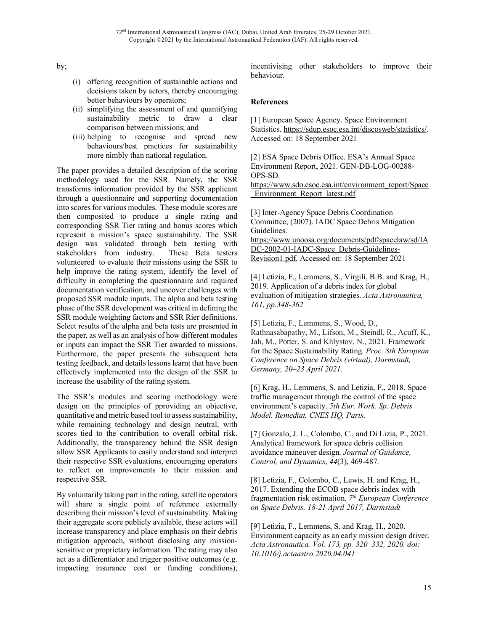by;

- (i) offering recognition of sustainable actions and decisions taken by actors, thereby encouraging better behaviours by operators;
- (ii) simplifying the assessment of and quantifying sustainability metric to draw a clear comparison between missions; and
- (iii) helping to recognise and spread new behaviours/best practices for sustainability more nimbly than national regulation.

The paper provides a detailed description of the scoring methodology used for the SSR. Namely, the SSR transforms information provided by the SSR applicant through a questionnaire and supporting documentation into scores for various modules. These module scores are then composited to produce a single rating and corresponding SSR Tier rating and bonus scores which represent a mission's space sustainability. The SSR design was validated through beta testing with stakeholders from industry. These Beta testers volunteered to evaluate their missions using the SSR to help improve the rating system, identify the level of difficulty in completing the questionnaire and required documentation verification, and uncover challenges with proposed SSR module inputs. The alpha and beta testing phase of the SSR development was critical in defining the SSR module weighting factors and SSR Rier definitions. Select results of the alpha and beta tests are presented in the paper, as well as an analysis of how different modules or inputs can impact the SSR Tier awarded to missions. Furthermore, the paper presents the subsequent beta testing feedback, and details lessons learnt that have been effectively implemented into the design of the SSR to increase the usability of the rating system.

The SSR's modules and scoring methodology were design on the principles of pproviding an objective, quantitative and metric based tool to assess sustainability, while remaining technology and design neutral, with scores tied to the contribution to overall orbital risk. Additionally, the transparency behind the SSR design allow SSR Applicants to easily understand and interpret their respective SSR evaluations, encouraging operators to reflect on improvements to their mission and respective SSR.

By voluntarily taking part in the rating, satellite operators will share a single point of reference externally describing their mission's level of sustainability. Making their aggregate score publicly available, these actors will increase transparency and place emphasis on their debris mitigation approach, without disclosing any missionsensitive or proprietary information. The rating may also act as a differentiator and trigger positive outcomes (e.g. impacting insurance cost or funding conditions),

incentivising other stakeholders to improve their behaviour.

## **References**

[1] European Space Agency. Space Environment Statistics. https://sdup.esoc.esa.int/discosweb/statistics/. Accessed on: 18 September 2021

[2] ESA Space Debris Office. ESA's Annual Space Environment Report, 2021. GEN-DB-LOG-00288- OPS-SD.

https://www.sdo.esoc.esa.int/environment\_report/Space \_Environment\_Report\_latest.pdf

[3] Inter-Agency Space Debris Coordination Committee, (2007). IADC Space Debris Mitigation Guidelines. https://www.unoosa.org/documents/pdf/spacelaw/sd/IA

DC-2002-01-IADC-Space\_Debris-Guidelines-Revision1.pdf. Accessed on: 18 September 2021

[4] Letizia, F., Lemmens, S., Virgili, B.B. and Krag, H., 2019. Application of a debris index for global evaluation of mitigation strategies. *Acta Astronautica, 161, pp.348-362*

[5] Letizia, F., Lemmens, S., Wood, D., Rathnasabapathy, M., Lifson, M., Steindl, R., Acuff, K., Jah, M., Potter, S. and Khlystov, N., 2021. Framework for the Space Sustainability Rating. *Proc. 8th European Conference on Space Debris (virtual), Darmstadt, Germany, 20–23 April 2021.*

[6] Krag, H., Lemmens, S. and Letizia, F., 2018. Space traffic management through the control of the space environment's capacity. *5th Eur. Work. Sp. Debris Model. Remediat. CNES HQ, Paris*.

[7] Gonzalo, J. L., Colombo, C., and Di Lizia, P., 2021. Analytical framework for space debris collision avoidance maneuver design. *Journal of Guidance, Control, and Dynamics*, *44*(3), 469-487.

[8] Letizia, F., Colombo, C., Lewis, H. and Krag, H., 2017. Extending the ECOB space debris index with fragmentation risk estimation. *7th European Conference on Space Debris, 18-21 April 2017, Darmstadt*

[9] Letizia, F., Lemmens, S. and Krag, H., 2020. Environment capacity as an early mission design driver. *Acta Astronautica. Vol. 173, pp. 320–332, 2020. doi: 10.1016/j.actaastro.2020.04.041*